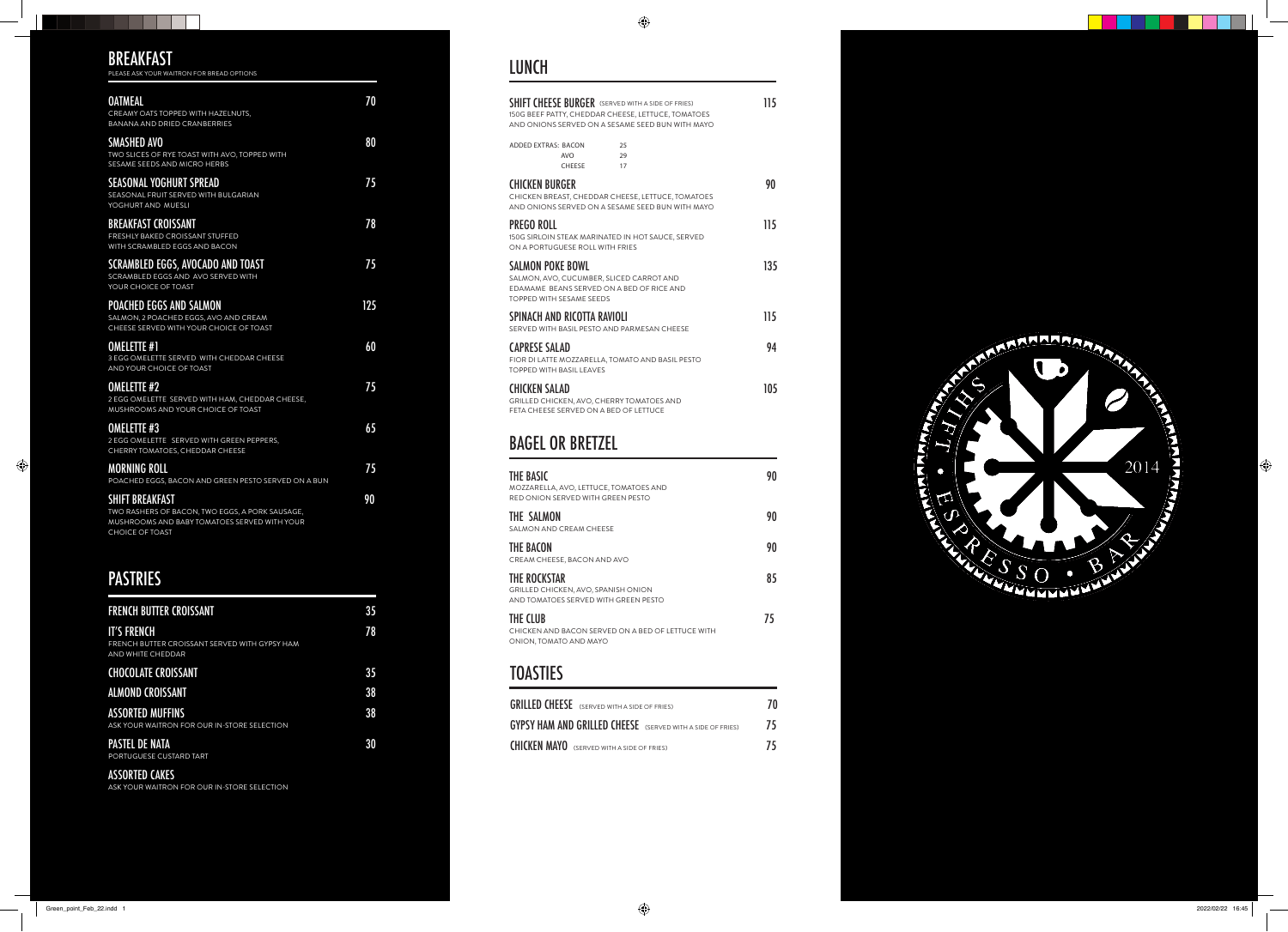#### LUNCH



 $\blacksquare$ 

TN

 $\bigoplus$ 

**THE R** 

-11

| THE BASIC                                                                                                                                                   |                                                     | MOZZARELLA, AVO, LETTUCE, TOMATOES AND                                                                | 90  |
|-------------------------------------------------------------------------------------------------------------------------------------------------------------|-----------------------------------------------------|-------------------------------------------------------------------------------------------------------|-----|
|                                                                                                                                                             | BAGEL OR BRETZEL                                    |                                                                                                       |     |
| CHICKEN SALAD<br>GRILLED CHICKEN, AVO, CHERRY TOMATOES AND<br>FETA CHEESE SERVED ON A BED OF LETTUCE                                                        |                                                     |                                                                                                       | 105 |
| CAPRESE SALAD                                                                                                                                               | <b>TOPPED WITH BASIL LEAVES</b>                     | FIOR DI LATTE MOZZARELLA, TOMATO AND BASIL PESTO                                                      | 94  |
|                                                                                                                                                             | SPINACH AND RICOTTA RAVIOLI                         | SERVED WITH BASIL PESTO AND PARMESAN CHEESE                                                           | 115 |
|                                                                                                                                                             | SALMON POKE BOWL<br><b>TOPPED WITH SESAME SEEDS</b> | SALMON, AVO, CUCUMBER, SLICED CARROT AND<br>EDAMAME BEANS SERVED ON A BED OF RICE AND                 | 135 |
| PREGO ROLL                                                                                                                                                  | ON A PORTUGUESE ROLL WITH FRIES                     | 150G SIRLOIN STEAK MARINATED IN HOT SAUCE, SERVED                                                     | 115 |
| <b>CHICKEN BURGER</b>                                                                                                                                       |                                                     | CHICKEN BREAST, CHEDDAR CHEESE, LETTUCE, TOMATOES<br>AND ONIONS SERVED ON A SESAME SEED BUN WITH MAYO | 90  |
| <b>ADDED EXTRAS: BACON</b>                                                                                                                                  | <b>AVO</b><br><b>CHEESE</b>                         | 25<br>29<br>17                                                                                        |     |
| SHIFT CHEESE BURGER (SERVED WITH A SIDE OF FRIES)<br>150G BEEF PATTY, CHEDDAR CHEESE, LETTUCE, TOMATOES<br>AND ONIONS SERVED ON A SESAME SEED BUN WITH MAYO |                                                     | 115                                                                                                   |     |

| PLEASE ASK YOUR WAITRON FOR BREAD OPTIONS                                                                                 |     |
|---------------------------------------------------------------------------------------------------------------------------|-----|
| <b>OATMEAL</b><br>CREAMY OATS TOPPED WITH HAZELNUTS,<br><b>BANANA AND DRIED CRANBERRIES</b>                               | 70  |
| <b>SMASHED AVO</b><br>TWO SLICES OF RYE TOAST WITH AVO, TOPPED WITH<br>SESAME SEEDS AND MICRO HERBS                       | 80  |
| <b>SEASONAL YOGHURT SPREAD</b><br>SEASONAL FRUIT SERVED WITH BULGARIAN<br>YOGHURT AND MUESLI                              | 75  |
| <b>BREAKFAST CROISSANT</b><br>FRESHLY BAKED CROISSANT STUFFED<br>WITH SCRAMBLED EGGS AND BACON                            | 78  |
| <b>SCRAMBLED EGGS, AVOCADO AND TOAST</b><br>SCRAMBLED EGGS AND AVO SERVED WITH<br>YOUR CHOICE OF TOAST                    | 75  |
| <b>POACHED EGGS AND SALMON</b><br>SALMON, 2 POACHED EGGS, AVO AND CREAM<br>CHEESE SERVED WITH YOUR CHOICE OF TOAST        | 125 |
| <b>OMELETTE #1</b><br><b>3 EGG OMELETTE SERVED WITH CHEDDAR CHEESE</b><br><b>AND YOUR CHOICE OF TOAST</b>                 | 60  |
| <b>OMELETTE #2</b><br>2 EGG OMELETTE SERVED WITH HAM, CHEDDAR CHEESE,<br>MUSHROOMS AND YOUR CHOICE OF TOAST               | 75  |
| <b>OMELETTE #3</b><br>2 EGG OMELETTE SERVED WITH GREEN PEPPERS,<br>CHERRY TOMATOES, CHEDDAR CHEESE                        | 65  |
| <b>MORNING ROLL</b><br>POACHED EGGS, BACON AND GREEN PESTO SERVED ON A BUN                                                | 75  |
| <b>SHIFT BREAKFAST</b><br>TWO RASHERS OF BACON, TWO EGGS, A PORK SAUSAGE,<br>MUSHROOMS AND BABY TOMATOES SERVED WITH YOUR | 90  |

CHOICE OF TOAST

## BREAKFAST

. . .

## PASTRIES

| <b>FRENCH BUTTER CROISSANT</b>                                                                  | 35 |
|-------------------------------------------------------------------------------------------------|----|
| <b>IT'S FRENCH</b><br>FRENCH BUTTER CROISSANT SERVED WITH GYPSY HAM<br><b>AND WHITE CHEDDAR</b> | 78 |
| <b>CHOCOLATE CROISSANT</b>                                                                      | 35 |
| <b>ALMOND CROISSANT</b>                                                                         | 38 |
| <b>ASSORTED MUFFINS</b><br>ASK YOUR WAITRON FOR OUR IN-STORE SELECTION                          | 38 |
| <b>PASTEL DE NATA</b><br>PORTUGUESE CUSTARD TART                                                | 30 |

#### ASSORTED CAKES

ASK YOUR WAITRON FOR OUR IN-STORE SELECTION

| MOZZARELLA, AVO, LETTUCE, TOMATOES AND<br>RED ONION SERVED WITH GREEN PESTO                 |    |
|---------------------------------------------------------------------------------------------|----|
| THE SALMON<br>SALMON AND CREAM CHEESE                                                       | 90 |
| THE BACON<br>CREAM CHEESE, BACON AND AVO                                                    | 90 |
| THE ROCKSTAR<br>GRILLED CHICKEN, AVO, SPANISH ONION<br>AND TOMATOES SERVED WITH GREEN PESTO | 85 |
| THE CLUB<br>CHICKEN AND BACON SERVED ON A BED OF LETTUCE WITH<br>ONION, TOMATO AND MAYO     | 75 |

## **TOASTIES**

| <b>GRILLED CHEESE</b> (SERVED WITH A SIDE OF FRIES)               | 70  |
|-------------------------------------------------------------------|-----|
| <b>GYPSY HAM AND GRILLED CHEESE</b> (SERVED WITH A SIDE OF FRIES) | -75 |
| <b>CHICKEN MAYO</b> (SERVED WITH A SIDE OF FRIES)                 | 75  |

 $\bullet$